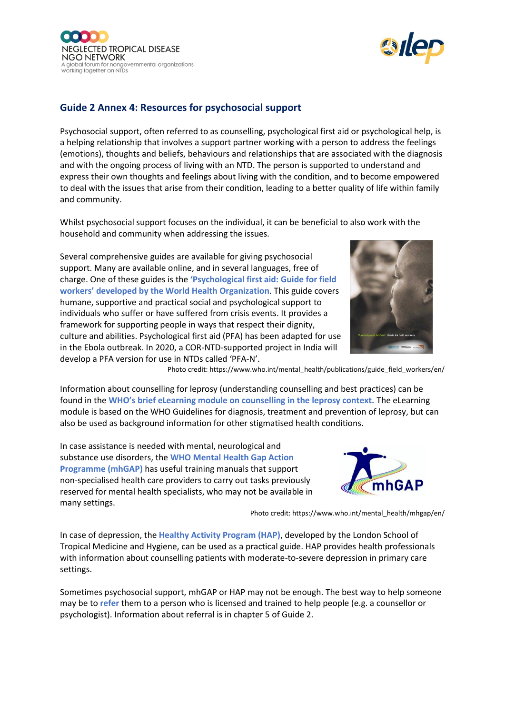



## **Guide 2 Annex 4: Resources for psychosocial support**

Psychosocial support, often referred to as counselling, psychological first aid or psychological help, is a helping relationship that involves a support partner working with a person to address the feelings (emotions), thoughts and beliefs, behaviours and relationships that are associated with the diagnosis and with the ongoing process of living with an NTD. The person is supported to understand and express their own thoughts and feelings about living with the condition, and to become empowered to deal with the issues that arise from their condition, leading to a better quality of life within family and community.

Whilst psychosocial support focuses on the individual, it can be beneficial to also work with the household and community when addressing the issues.

Several comprehensive guides are available for giving psychosocial support. Many are available online, and in several languages, free of charge. One of these guides is the **'Psychological first aid: Guide for field workers' developed by the World Health Organization**. This guide covers humane, supportive and practical social and psychological support to individuals who suffer or have suffered from crisis events. It provides a framework for supporting people in ways that respect their dignity, culture and abilities. Psychological first aid (PFA) has been adapted for use in the Ebola outbreak. In 2020, a COR-NTD-supported project in India will develop a PFA version for use in NTDs called 'PFA-N'.



Photo credit: https://www.who.int/mental\_health/publications/guide\_field\_workers/en/

Information about counselling for leprosy (understanding counselling and best practices) can be found in the **WHO's brief eLearning module on counselling in the leprosy context.** The eLearning module is based on the WHO Guidelines for diagnosis, treatment and prevention of leprosy, but can also be used as background information for other stigmatised health conditions.

In case assistance is needed with mental, neurological and substance use disorders, the **WHO Mental Health Gap Action Programme (mhGAP)** has useful training manuals that support non-specialised health care providers to carry out tasks previously reserved for mental health specialists, who may not be available in many settings.



Photo credit: https://www.who.int/mental\_health/mhgap/en/

In case of depression, the **Healthy Activity Program (HAP)**, developed by the London School of Tropical Medicine and Hygiene, can be used as a practical guide. HAP provides health professionals with information about counselling patients with moderate-to-severe depression in primary care settings.

Sometimes psychosocial support, mhGAP or HAP may not be enough. The best way to help someone may be to **refer** them to a person who is licensed and trained to help people (e.g. a counsellor or psychologist). Information about referral is in chapter 5 of Guide 2.